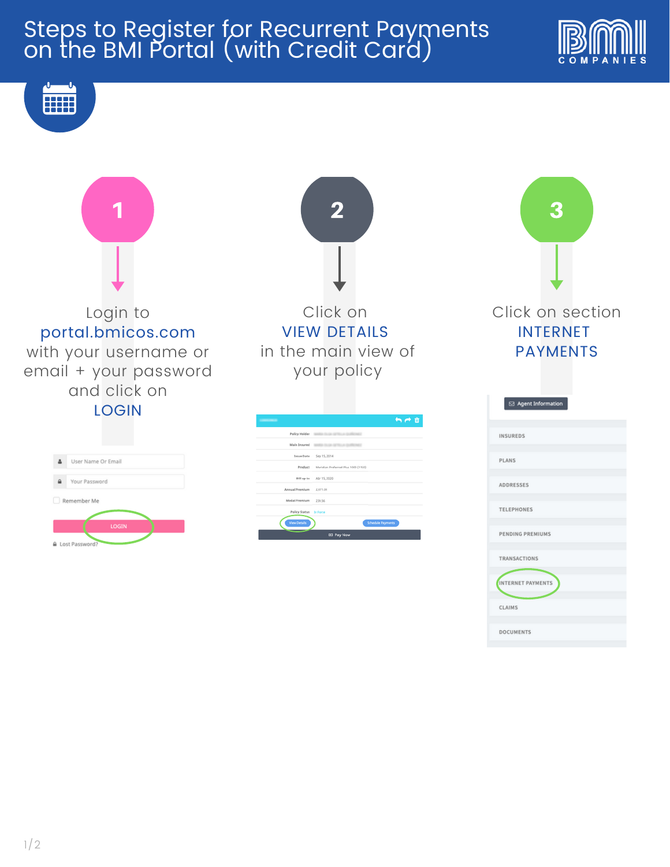# Steps to Register for Recurrent Payments on the BMI Portal (with Credit Card)











CLAIMS

**DOCUMENTS** 

3